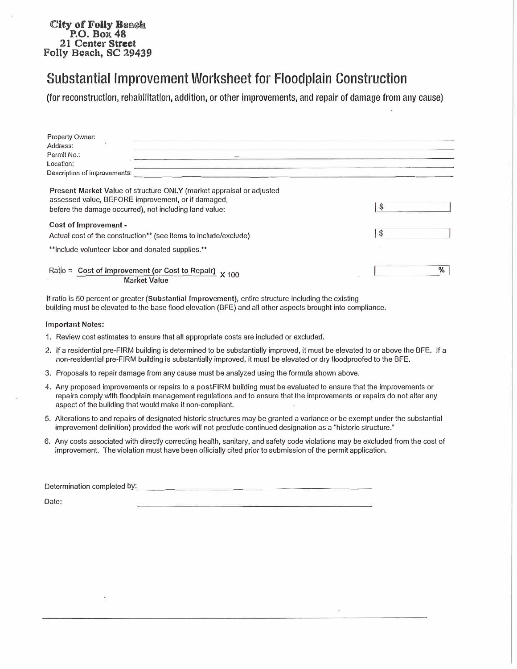## **City of Folly Beach P.O. Box 48 21 Center Street Folly Beach, SC 29439**

# Substantial Improvement Worksheet for Floodplain Construction

(for reconstruction, rehabilitation, addition, or other improvements, and repair of damage from any cause)

| <b>Property Owner:</b>                                                                                                                                                                                             |     |
|--------------------------------------------------------------------------------------------------------------------------------------------------------------------------------------------------------------------|-----|
| Address:                                                                                                                                                                                                           |     |
| Permit No.:                                                                                                                                                                                                        |     |
| Location:                                                                                                                                                                                                          |     |
| Description of improvements:                                                                                                                                                                                       |     |
| Present Market Value of structure ONLY (market appraisal or adjusted<br>assessed value, BEFORE improvement, or if damaged,<br>before the damage occurred), not including land value:                               | \$. |
| Cost of Improvement -<br>Actual cost of the construction <sup>**</sup> (see items to include/exclude)                                                                                                              | \$  |
| **Include volunteer labor and donated supplies.**                                                                                                                                                                  |     |
| Ratio = Cost of Improvement (or Cost to Repair) x 100<br><b>Market Value</b>                                                                                                                                       | %   |
| If ratio is 50 percent or greater (Substantial Improvement), entire structure including the existing<br>building must be elevated to the base flood elevation (BFE) and all other aspects brought into compliance. |     |

#### **Important Notes:**

Property Owner:

- 1. Review cost estimates to ensure that all appropriate costs are included or excluded.
- 2. If a residential pre-FIRM building is determined to be substantially improved, it must be elevated to or above the BFE. If a non-residential pre-FIRM building is substantially improved, it must be elevated or dry floodproofed to the BFE.
- 3. Proposals to repair damage from any cause must be analyzed using the formula shown above.
- 4. Any proposed improvements or repairs to a postFIRM building must be evaluated to ensure that the improvements or repairs comply with floodplain management regulations and to ensure that the improvements or repairs do not alter any aspect of the building that would make it non-compliant.
- 5. Alterations to and repairs of designated historic structures may be granted a variance or be exempt under the substantial improvement definition) provided the work will not preclude continued designation as a "historic structure."
- 6. Any costs associated with directly correcting health, sanitary, and safety code violations may be excluded from the cost of improvement. The violation must have been officially cited prior to submission of the permit application.

| Determination completed by: |  |  |  |  |
|-----------------------------|--|--|--|--|
| Date:                       |  |  |  |  |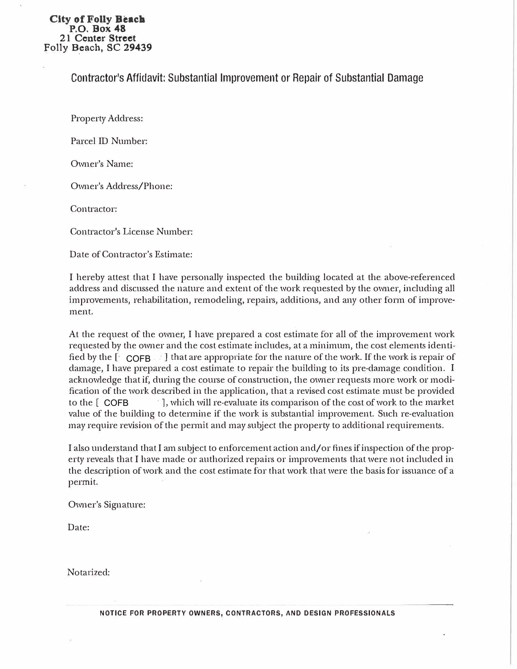#### City **of** Folly **Beacll P.O. Box 48 21 Center Street Folly** B\_each, **SC <sup>29439</sup>**

#### Contractor's Affidavit: Substantial Improvement or Repair of Substantial Damage

Property Address:

Parcel ID Number:

Owner's Name:

Owner's Address/Phone:

Contractor:

Contractor's License Number:

Date of Contractor's Estimate:

I hereby attest that I have personally inspected the building located at the above-referenced address and discussed the nature and extent of the work requested by the owner, including all improvements, rehabilitation, remodeling, repairs, additions, and any other form of improvement.

fied by the [  $^{\circ}$  COFB  $^{\circ}$  ] that are appropriate for the nature of the work. If the work is repair of to the [ COFB At the request of the owner, I have prepared a cost estimate for all of the improvement work requested by the owner and the cost estimate includes, at a minimum, the cost elements identi damage, I have prepared a cost estimate to repair the building to its pre-damage condition. I acknowledge that if, during the course of construction, the owner requests more work or modification of the work described in the application, that a revised cost estimate must be provided  $\cdot$ ], which will re-evaluate its comparison of the cost of work to the market value of the building to determine if the work is substantial improvement. Such re-evaluation may require revision of the permit and may subject the property to additional requirements.

I also understand that I am subject to enforcement action and/ or fines if inspection of the property reveals that I have made or authorized repairs or improvements that were not included in the description of work and the cost estimate for that work that were the basis for issuance of a permit.

Owner's Signature:

Date:

Notarized: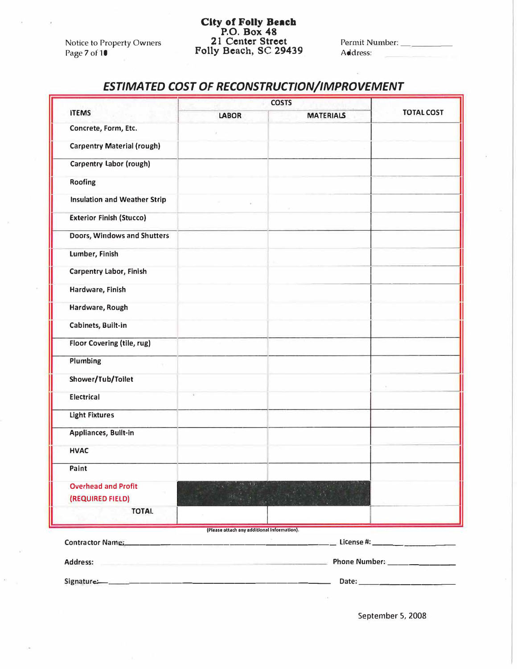Notice to Property Owners Page 7 of 10

### **City of Folly Beach P.O. Box 48 21 Center Street Folly Beach, SC 29439**

Permit Number: Address:

# *ESTIMATED COST OF RECONSTRUCTION/IMPROVEMENT*

|                                             | <b>COSTS</b>                      |                                                                            |                   |  |  |  |
|---------------------------------------------|-----------------------------------|----------------------------------------------------------------------------|-------------------|--|--|--|
| <b>ITEMS</b>                                | <b>LABOR</b>                      | <b>MATERIALS</b>                                                           | <b>TOTAL COST</b> |  |  |  |
| Concrete, Form, Etc.                        |                                   |                                                                            |                   |  |  |  |
| <b>Carpentry Material (rough)</b>           |                                   |                                                                            |                   |  |  |  |
| Carpentry Labor (rough)                     |                                   |                                                                            |                   |  |  |  |
| Roofing                                     |                                   |                                                                            |                   |  |  |  |
| <b>Insulation and Weather Strip</b>         | $\mathcal{L}^+$                   |                                                                            |                   |  |  |  |
| <b>Exterior Finish (Stucco)</b>             |                                   |                                                                            |                   |  |  |  |
| Doors, Windows and Shutters                 |                                   |                                                                            |                   |  |  |  |
| Lumber, Finish                              |                                   |                                                                            |                   |  |  |  |
| <b>Carpentry Labor, Finish</b>              |                                   |                                                                            |                   |  |  |  |
| Hardware, Finish                            |                                   |                                                                            |                   |  |  |  |
| Hardware, Rough                             |                                   |                                                                            |                   |  |  |  |
| Cabinets, Built-in                          |                                   |                                                                            |                   |  |  |  |
| Floor Covering (tile, rug)                  |                                   |                                                                            |                   |  |  |  |
| Plumbing<br>×.                              |                                   |                                                                            |                   |  |  |  |
| Shower/Tub/Toilet                           |                                   |                                                                            |                   |  |  |  |
| <b>Electrical</b>                           | ä.                                |                                                                            |                   |  |  |  |
| <b>Light Fixtures</b>                       |                                   |                                                                            |                   |  |  |  |
| Appliances, Built-in                        |                                   |                                                                            |                   |  |  |  |
| <b>HVAC</b>                                 |                                   |                                                                            |                   |  |  |  |
| Paint                                       |                                   |                                                                            |                   |  |  |  |
| <b>Overhead and Profit</b>                  |                                   |                                                                            |                   |  |  |  |
| (REQUIRED FIELD)                            |                                   |                                                                            |                   |  |  |  |
| <b>TOTAL</b>                                |                                   |                                                                            |                   |  |  |  |
| (Please attach any additional Information). |                                   |                                                                            |                   |  |  |  |
| <b>Contractor Name:</b>                     | the company of the company of the |                                                                            |                   |  |  |  |
| <b>Address:</b>                             |                                   | the control of the control of the control of the control of the control of |                   |  |  |  |
|                                             |                                   |                                                                            |                   |  |  |  |

September 5, 2008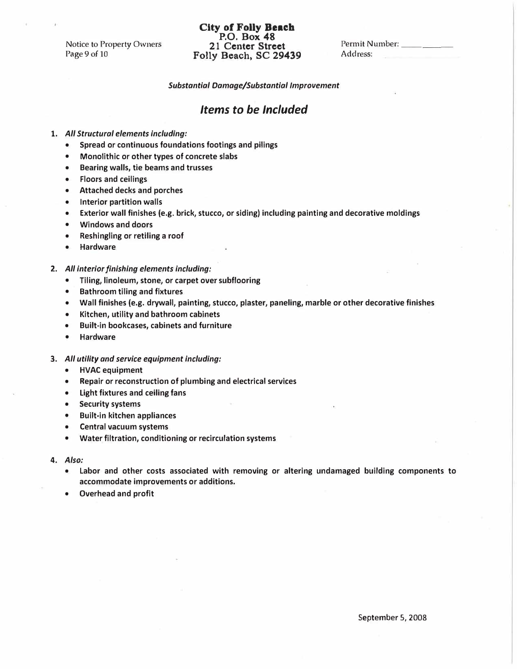Notice to Property Owners Page 9 of 10

### **City of Folly Beach P.O. Box 48 21 Center Street Folly Beach, SC 29439**

Permit Number: \_\_ \_ Address:

*Substantial Damage/Substantial Improvement* 

#### *Items to be Included*

**1.** *All Structural elements including:* 

- **Spread or continuous foundations footings and pilings**
- **Monolithic or other types of concrete slabs**
- **Bearing walls, tie beams and trusses**
- **Floors and ceilings**
- **Attached decks and porches**
- **Interior partition walls**
- **Exterior wall finishes (e.g. brick, stucco, or siding) including painting and decorative moldings**
- **Windows and doors**
- **Reshingling or retiling a roof**
- **Hardware**
- *2. All interior finishing elements including:* 
	- **Tiling, linoleum, stone, or carpet over subflooring**
	- **Bathroom tiling and fixtures**
	- **Wall finishes (e.g. drywall, painting, stucco, plaster, paneling, marble or other decorative finishes**
	- **Kitchen, utility and bathroom cabinets**
	- **Built-in bookcases, cabinets and furniture**
	- **Hardware**
- **3.** *All utility and service equipment including:* 
	- **HVAC equipment**
	- **Repair or reconstruction of plumbing and electrical services**
	- **Light fixtures and ceiling fans**
	- **Security systems**
	- **Built-in kitchen appliances**
	- **Central vacuum systems**
	- **Water filtration, conditioning or recirculation systems**
- 4. *Also:* 
	- **Labor and other costs associated with removing or altering undamaged building components to accommodate improvements or additions.**
	- **Overhead and profit**